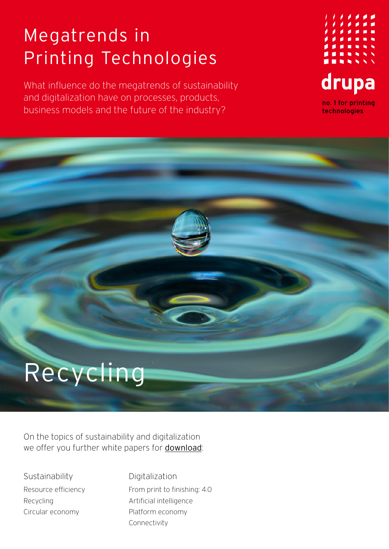## Megatrends in Printing Technologies

What influence do the megatrends of sustainability and digitalization have on processes, products, business models and the future of the industry?



## Recycling

On the topics of sustainability and digitalization we offer you further white papers for [download](https://www.drupa.com/drupa_maintopics_EN):

Sustainability Resource efficiency Recycling Circular economy

Digitalization From print to finishing: 4.0 Artificial intelligence Platform economy Connectivity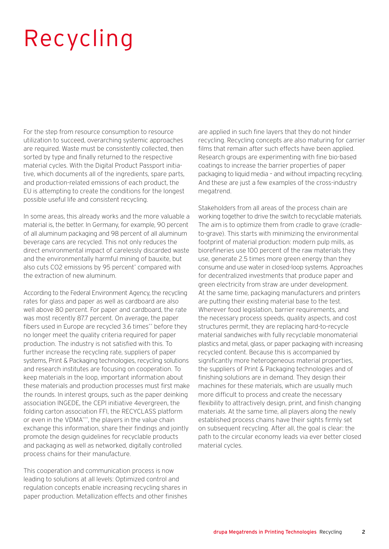## Recycling

For the step from resource consumption to resource utilization to succeed, overarching systemic approaches are required. Waste must be consistently collected, then sorted by type and finally returned to the respective material cycles. With the Digital Product Passport initiative, which documents all of the ingredients, spare parts, and production-related emissions of each product, the EU is attempting to create the conditions for the longest possible useful life and consistent recycling.

In some areas, this already works and the more valuable a material is, the better. In Germany, for example, 90 percent of all aluminum packaging and 98 percent of all aluminum beverage cans are recycled. This not only reduces the direct environmental impact of carelessly discarded waste and the environmentally harmful mining of bauxite, but also cuts CO2 emissions by 95 percent\* compared with the extraction of new aluminum.

According to the Federal Environment Agency, the recycling rates for glass and paper as well as cardboard are also well above 80 percent. For paper and cardboard, the rate was most recently 87.7 percent. On average, the paper fibers used in Europe are recycled 3.6 times\*\* before they no longer meet the quality criteria required for paper production. The industry is not satisfied with this. To further increase the recycling rate, suppliers of paper systems, Print & Packaging technologies, recycling solutions and research institutes are focusing on cooperation. To keep materials in the loop, important information about these materials and production processes must first make the rounds. In interest groups, such as the paper deinking association INGEDE, the CEPI initiative 4evergreen, the folding carton association FFI, the RECYCLASS platform or even in the VDMA\*\*\*, the players in the value chain exchange this information, share their findings and jointly promote the design guidelines for recyclable products and packaging as well as networked, digitally controlled process chains for their manufacture.

This cooperation and communication process is now leading to solutions at all levels: Optimized control and regulation concepts enable increasing recycling shares in paper production. Metallization effects and other finishes

are applied in such fine layers that they do not hinder recycling. Recycling concepts are also maturing for carrier films that remain after such effects have been applied. Research groups are experimenting with fine bio-based coatings to increase the barrier properties of paper packaging to liquid media – and without impacting recycling. And these are just a few examples of the cross-industry megatrend.

Stakeholders from all areas of the process chain are working together to drive the switch to recyclable materials. The aim is to optimize them from cradle to grave (cradleto-grave). This starts with minimizing the environmental footprint of material production: modern pulp mills, as biorefineries use 100 percent of the raw materials they use, generate 2.5 times more green energy than they consume and use water in closed-loop systems. Approaches for decentralized investments that produce paper and green electricity from straw are under development. At the same time, packaging manufacturers and printers are putting their existing material base to the test. Wherever food legislation, barrier requirements, and the necessary process speeds, quality aspects, and cost structures permit, they are replacing hard-to-recycle material sandwiches with fully recyclable monomaterial plastics and metal, glass, or paper packaging with increasing recycled content. Because this is accompanied by significantly more heterogeneous material properties, the suppliers of Print & Packaging technologies and of finishing solutions are in demand. They design their machines for these materials, which are usually much more difficult to process and create the necessary flexibility to attractively design, print, and finish changing materials. At the same time, all players along the newly established process chains have their sights firmly set on subsequent recycling. After all, the goal is clear: the path to the circular economy leads via ever better closed material cycles.